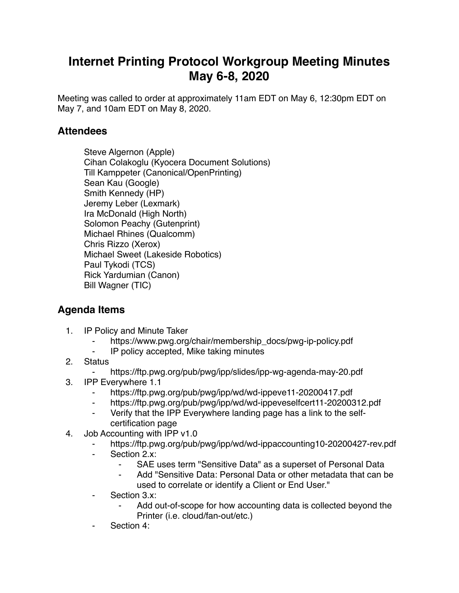## **Internet Printing Protocol Workgroup Meeting Minutes May 6-8, 2020**

Meeting was called to order at approximately 11am EDT on May 6, 12:30pm EDT on May 7, and 10am EDT on May 8, 2020.

## **Attendees**

Steve Algernon (Apple) Cihan Colakoglu (Kyocera Document Solutions) Till Kamppeter (Canonical/OpenPrinting) Sean Kau (Google) Smith Kennedy (HP) Jeremy Leber (Lexmark) Ira McDonald (High North) Solomon Peachy (Gutenprint) Michael Rhines (Qualcomm) Chris Rizzo (Xerox) Michael Sweet (Lakeside Robotics) Paul Tykodi (TCS) Rick Yardumian (Canon) Bill Wagner (TIC)

## **Agenda Items**

- 1. IP Policy and Minute Taker
	- ⁃ https://www.pwg.org/chair/membership\_docs/pwg-ip-policy.pdf
	- IP policy accepted, Mike taking minutes
- 2. Status
	- https://ftp.pwg.org/pub/pwg/ipp/slides/ipp-wg-agenda-may-20.pdf
- 3. IPP Everywhere 1.1
	- ⁃ https://ftp.pwg.org/pub/pwg/ipp/wd/wd-ippeve11-20200417.pdf
	- ⁃ https://ftp.pwg.org/pub/pwg/ipp/wd/wd-ippeveselfcert11-20200312.pdf
	- ⁃ Verify that the IPP Everywhere landing page has a link to the selfcertification page
- 4. Job Accounting with IPP v1.0
	- https://ftp.pwg.org/pub/pwg/ipp/wd/wd-ippaccounting10-20200427-rev.pdf
	- ⁃ Section 2.x:
		- ⁃ SAE uses term "Sensitive Data" as a superset of Personal Data
		- Add "Sensitive Data: Personal Data or other metadata that can be used to correlate or identify a Client or End User."
	- ⁃ Section 3.x:
		- Add out-of-scope for how accounting data is collected beyond the Printer (i.e. cloud/fan-out/etc.)
	- Section 4: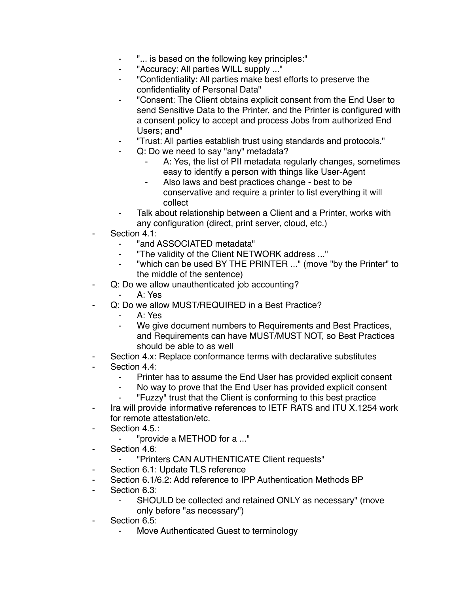- ⁃ "... is based on the following key principles:"
- ⁃ "Accuracy: All parties WILL supply ..."
- ⁃ "Confidentiality: All parties make best efforts to preserve the confidentiality of Personal Data"
- ⁃ "Consent: The Client obtains explicit consent from the End User to send Sensitive Data to the Printer, and the Printer is configured with a consent policy to accept and process Jobs from authorized End Users; and"
- ⁃ "Trust: All parties establish trust using standards and protocols."
- Q: Do we need to say "any" metadata?
	- A: Yes, the list of PII metadata regularly changes, sometimes easy to identify a person with things like User-Agent
	- Also laws and best practices change best to be conservative and require a printer to list everything it will collect
- Talk about relationship between a Client and a Printer, works with any configuration (direct, print server, cloud, etc.)
- Section 4.1:
	- "and ASSOCIATED metadata"
	- ⁃ "The validity of the Client NETWORK address ..."
	- "which can be used BY THE PRINTER ..." (move "by the Printer" to the middle of the sentence)
- Q: Do we allow unauthenticated job accounting?
	- $A \cdot Y$ es
- Q: Do we allow MUST/REQUIRED in a Best Practice?
	- ⁃ A: Yes
	- ⁃ We give document numbers to Requirements and Best Practices, and Requirements can have MUST/MUST NOT, so Best Practices should be able to as well
- Section 4.x: Replace conformance terms with declarative substitutes
- Section 4.4:
	- ⁃ Printer has to assume the End User has provided explicit consent
	- No way to prove that the End User has provided explicit consent
	- ⁃ "Fuzzy" trust that the Client is conforming to this best practice
- ⁃ Ira will provide informative references to IETF RATS and ITU X.1254 work for remote attestation/etc.
- ⁃ Section 4.5.:
	- ⁃ "provide a METHOD for a ..."
- Section 4.6:
	- ⁃ "Printers CAN AUTHENTICATE Client requests"
- Section 6.1: Update TLS reference
- ⁃ Section 6.1/6.2: Add reference to IPP Authentication Methods BP
- Section 6.3:
	- ⁃ SHOULD be collected and retained ONLY as necessary" (move only before "as necessary")
- ⁃ Section 6.5:
	- Move Authenticated Guest to terminology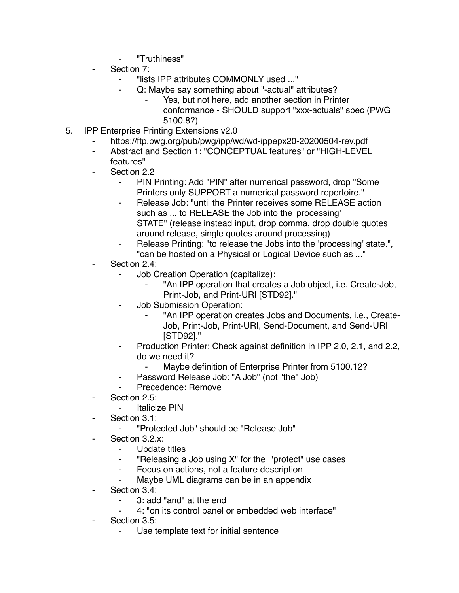- ⁃ "Truthiness"
- Section 7:
	- ⁃ "lists IPP attributes COMMONLY used ..."
	- Q: Maybe say something about "-actual" attributes?
		- Yes, but not here, add another section in Printer conformance - SHOULD support "xxx-actuals" spec (PWG 5100.8?)
- 5. IPP Enterprise Printing Extensions v2.0
	- https://ftp.pwg.org/pub/pwg/ipp/wd/wd-ippepx20-20200504-rev.pdf
	- Abstract and Section 1: "CONCEPTUAL features" or "HIGH-LEVEL features"
	- Section 2.2
		- PIN Printing: Add "PIN" after numerical password, drop "Some Printers only SUPPORT a numerical password repertoire."
		- Release Job: "until the Printer receives some RELEASE action such as ... to RELEASE the Job into the 'processing' STATE" (release instead input, drop comma, drop double quotes around release, single quotes around processing)
		- Release Printing: "to release the Jobs into the 'processing' state.", "can be hosted on a Physical or Logical Device such as ..."
	- Section 2.4:
		- ⁃ Job Creation Operation (capitalize):
			- "An IPP operation that creates a Job object, i.e. Create-Job,
			- Print-Job, and Print-URI [STD92]."
		- ⁃ Job Submission Operation:
			- ⁃ "An IPP operation creates Jobs and Documents, i.e., Create-Job, Print-Job, Print-URI, Send-Document, and Send-URI [STD92]."
		- ⁃ Production Printer: Check against definition in IPP 2.0, 2.1, and 2.2, do we need it?
			- ⁃ Maybe definition of Enterprise Printer from 5100.12?
		- Password Release Job: "A Job" (not "the" Job)
		- ⁃ Precedence: Remove
	- Section  $2.5^\circ$ 
		- **Italicize PIN**
	- Section 3.1:
		- ⁃ "Protected Job" should be "Release Job"
	- Section 3.2.x:
		- Update titles
		- ⁃ "Releasing a Job using X" for the "protect" use cases
		- ⁃ Focus on actions, not a feature description
		- ⁃ Maybe UML diagrams can be in an appendix
	- Section 3.4:
		- ⁃ 3: add "and" at the end
		- ⁃ 4: "on its control panel or embedded web interface"
	- Section 3.5:
		- Use template text for initial sentence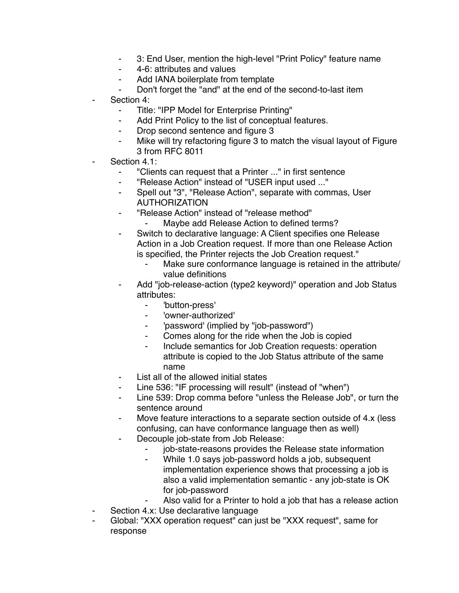- ⁃ 3: End User, mention the high-level "Print Policy" feature name
- ⁃ 4-6: attributes and values
- ⁃ Add IANA boilerplate from template
- Don't forget the "and" at the end of the second-to-last item
- Section 4:
	- Title: "IPP Model for Enterprise Printing"
	- ⁃ Add Print Policy to the list of conceptual features.
	- ⁃ Drop second sentence and figure 3
	- Mike will try refactoring figure 3 to match the visual layout of Figure 3 from RFC 8011
- Section 4.1:
	- ⁃ "Clients can request that a Printer ..." in first sentence
	- ⁃ "Release Action" instead of "USER input used ..."
	- ⁃ Spell out "3", "Release Action", separate with commas, User AUTHORIZATION
	- ⁃ "Release Action" instead of "release method"
		- ⁃ Maybe add Release Action to defined terms?
	- ⁃ Switch to declarative language: A Client specifies one Release Action in a Job Creation request. If more than one Release Action is specified, the Printer rejects the Job Creation request."
		- Make sure conformance language is retained in the attribute/ value definitions
	- Add "job-release-action (type2 keyword)" operation and Job Status attributes:
		- ⁃ 'button-press'
		- ⁃ 'owner-authorized'
		- ⁃ 'password' (implied by "job-password")
		- Comes along for the ride when the Job is copied
		- Include semantics for Job Creation requests: operation attribute is copied to the Job Status attribute of the same name
	- ⁃ List all of the allowed initial states
	- Line 536: "IF processing will result" (instead of "when")
	- ⁃ Line 539: Drop comma before "unless the Release Job", or turn the sentence around
	- Move feature interactions to a separate section outside of 4.x (less) confusing, can have conformance language then as well)
	- Decouple job-state from Job Release:
		- job-state-reasons provides the Release state information
		- ⁃ While 1.0 says job-password holds a job, subsequent implementation experience shows that processing a job is also a valid implementation semantic - any job-state is OK for job-password
		- Also valid for a Printer to hold a job that has a release action
- ⁃ Section 4.x: Use declarative language
- Global: "XXX operation request" can just be "XXX request", same for response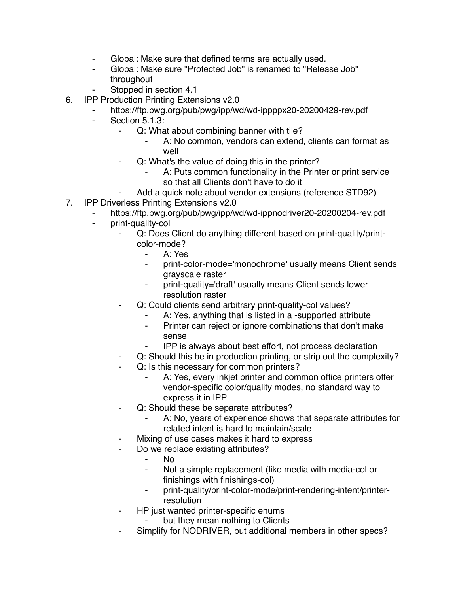- Global: Make sure that defined terms are actually used.
- ⁃ Global: Make sure "Protected Job" is renamed to "Release Job" throughout
- Stopped in section 4.1
- 6. IPP Production Printing Extensions v2.0
	- https://ftp.pwg.org/pub/pwg/ipp/wd/wd-ippppx20-20200429-rev.pdf
	- ⁃ Section 5.1.3:
		- Q: What about combining banner with tile?
			- A: No common, vendors can extend, clients can format as well
		- Q: What's the value of doing this in the printer?
			- A: Puts common functionality in the Printer or print service so that all Clients don't have to do it
		- Add a quick note about vendor extensions (reference STD92)
- 7. IPP Driverless Printing Extensions v2.0
	- https://ftp.pwg.org/pub/pwg/ipp/wd/wd-ippnodriver20-20200204-rev.pdf
	- ⁃ print-quality-col
		- Q: Does Client do anything different based on print-quality/printcolor-mode?
			- ⁃ A: Yes
			- ⁃ print-color-mode='monochrome' usually means Client sends grayscale raster
			- print-quality='draft' usually means Client sends lower resolution raster
		- ⁃ Q: Could clients send arbitrary print-quality-col values?
			- A: Yes, anything that is listed in a -supported attribute
			- ⁃ Printer can reject or ignore combinations that don't make sense
			- ⁃ IPP is always about best effort, not process declaration
		- Q: Should this be in production printing, or strip out the complexity?
		- Q: Is this necessary for common printers?
			- A: Yes, every inkjet printer and common office printers offer vendor-specific color/quality modes, no standard way to express it in IPP
		- ⁃ Q: Should these be separate attributes?
			- A: No, years of experience shows that separate attributes for related intent is hard to maintain/scale
		- Mixing of use cases makes it hard to express
		- Do we replace existing attributes?
			- No.
			- Not a simple replacement (like media with media-col or finishings with finishings-col)
			- print-quality/print-color-mode/print-rendering-intent/printerresolution
		- HP just wanted printer-specific enums
			- but they mean nothing to Clients
		- Simplify for NODRIVER, put additional members in other specs?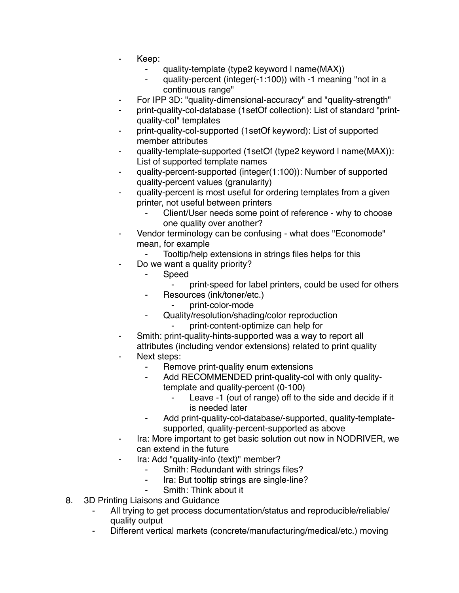- ⁃ Keep:
	- quality-template (type2 keyword I name(MAX))
	- quality-percent (integer(-1:100)) with -1 meaning "not in a continuous range"
- ⁃ For IPP 3D: "quality-dimensional-accuracy" and "quality-strength"
- print-quality-col-database (1setOf collection): List of standard "printquality-col" templates
- print-quality-col-supported (1setOf keyword): List of supported member attributes
- quality-template-supported (1setOf (type2 keyword I name(MAX)): List of supported template names
- ⁃ quality-percent-supported (integer(1:100)): Number of supported quality-percent values (granularity)
- quality-percent is most useful for ordering templates from a given printer, not useful between printers
	- Client/User needs some point of reference why to choose one quality over another?
- Vendor terminology can be confusing what does "Economode" mean, for example
	- Tooltip/help extensions in strings files helps for this
- ⁃ Do we want a quality priority?
	- ⁃ Speed
		- print-speed for label printers, could be used for others
		- Resources (ink/toner/etc.)
			- print-color-mode
	- ⁃ Quality/resolution/shading/color reproduction
		- print-content-optimize can help for
- Smith: print-quality-hints-supported was a way to report all attributes (including vendor extensions) related to print quality
- Next steps:
	- ⁃ Remove print-quality enum extensions
	- ⁃ Add RECOMMENDED print-quality-col with only qualitytemplate and quality-percent (0-100)
		- ⁃ Leave -1 (out of range) off to the side and decide if it is needed later
	- Add print-quality-col-database/-supported, quality-templatesupported, quality-percent-supported as above
- ⁃ Ira: More important to get basic solution out now in NODRIVER, we can extend in the future
- Ira: Add "quality-info (text)" member?
	- Smith: Redundant with strings files?
	- ⁃ Ira: But tooltip strings are single-line?
	- Smith: Think about it
- 8. 3D Printing Liaisons and Guidance
	- All trying to get process documentation/status and reproducible/reliable/ quality output
	- Different vertical markets (concrete/manufacturing/medical/etc.) moving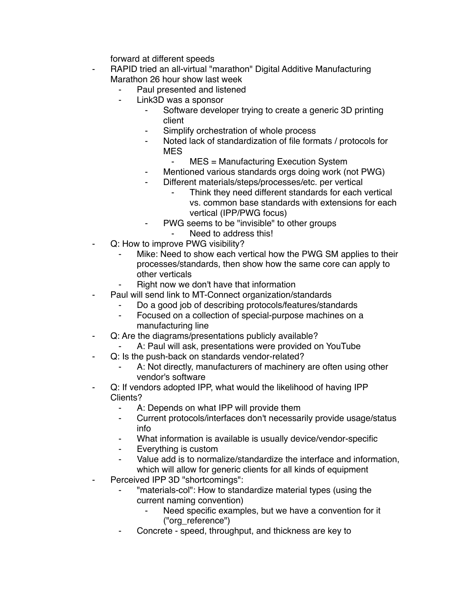forward at different speeds

- RAPID tried an all-virtual "marathon" Digital Additive Manufacturing Marathon 26 hour show last week
	- Paul presented and listened
	- ⁃ Link3D was a sponsor
		- Software developer trying to create a generic 3D printing client
		- Simplify orchestration of whole process
		- Noted lack of standardization of file formats / protocols for MES
			- MES = Manufacturing Execution System
		- ⁃ Mentioned various standards orgs doing work (not PWG)
		- Different materials/steps/processes/etc. per vertical
			- Think they need different standards for each vertical vs. common base standards with extensions for each vertical (IPP/PWG focus)
		- PWG seems to be "invisible" to other groups
	- Need to address this!
- Q: How to improve PWG visibility?
	- Mike: Need to show each vertical how the PWG SM applies to their processes/standards, then show how the same core can apply to other verticals
	- Right now we don't have that information
- Paul will send link to MT-Connect organization/standards
	- Do a good job of describing protocols/features/standards
	- Focused on a collection of special-purpose machines on a manufacturing line
- Q: Are the diagrams/presentations publicly available?
	- A: Paul will ask, presentations were provided on YouTube
- Q: Is the push-back on standards vendor-related?
	- A: Not directly, manufacturers of machinery are often using other vendor's software
- Q: If vendors adopted IPP, what would the likelihood of having IPP Clients?
	- ⁃ A: Depends on what IPP will provide them
	- ⁃ Current protocols/interfaces don't necessarily provide usage/status info
	- What information is available is usually device/vendor-specific
	- Everything is custom
	- Value add is to normalize/standardize the interface and information, which will allow for generic clients for all kinds of equipment
- Perceived IPP 3D "shortcomings":
	- "materials-col": How to standardize material types (using the current naming convention)
		- Need specific examples, but we have a convention for it ("org\_reference")
	- Concrete speed, throughput, and thickness are key to